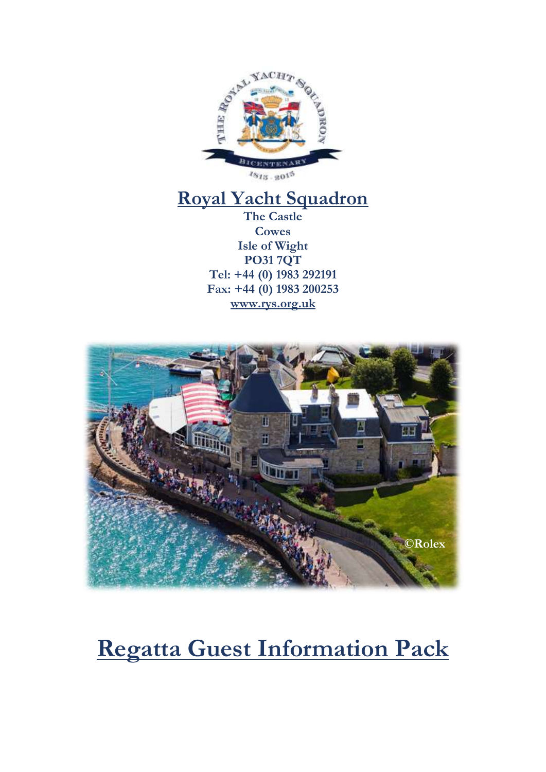

## **Royal Yacht Squadron**

**The Castle Cowes Isle of Wight PO31 7QT Tel: +44 (0) 1983 292191 Fax: +44 (0) 1983 200253 [www.rys.org.uk](http://www.rys.org.uk/)**



# **Regatta Guest Information Pack**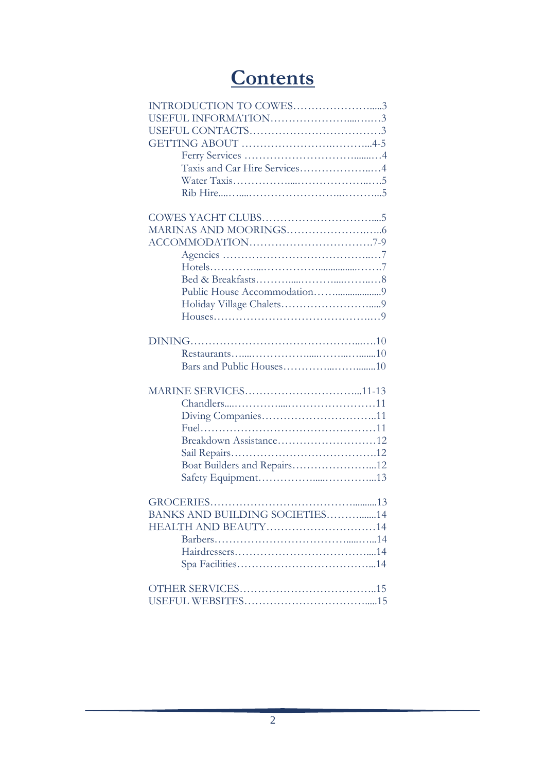## **Contents**

| INTRODUCTION TO COWES3         |
|--------------------------------|
|                                |
|                                |
|                                |
|                                |
| Taxis and Car Hire Services4   |
|                                |
|                                |
|                                |
|                                |
|                                |
|                                |
|                                |
|                                |
|                                |
|                                |
|                                |
|                                |
|                                |
|                                |
|                                |
|                                |
|                                |
|                                |
|                                |
| Breakdown Assistance12         |
|                                |
| Boat Builders and Repairs12    |
|                                |
|                                |
|                                |
| BANKS AND BUILDING SOCIETIES14 |
| HEALTH AND BEAUTY14            |
|                                |
|                                |
|                                |
|                                |
|                                |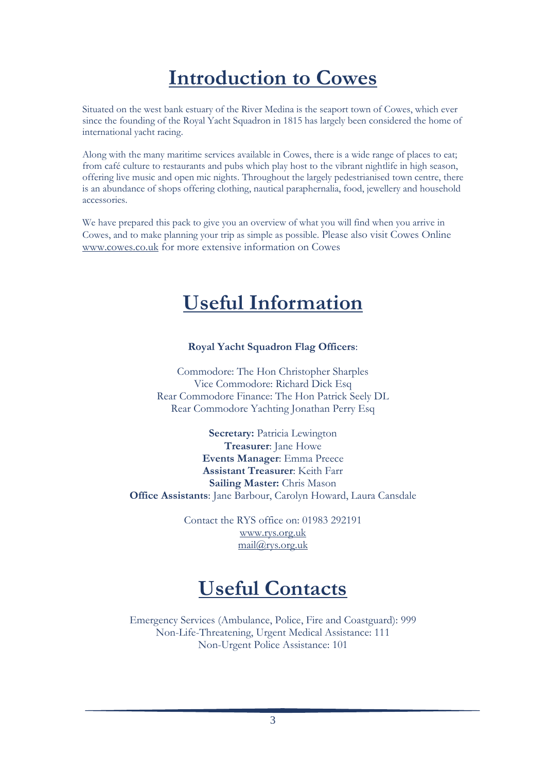## **Introduction to Cowes**

Situated on the west bank estuary of the River Medina is the seaport town of Cowes, which ever since the founding of the Royal Yacht Squadron in 1815 has largely been considered the home of international yacht racing.

Along with the many maritime services available in Cowes, there is a wide range of places to eat; from café culture to restaurants and pubs which play host to the vibrant nightlife in high season, offering live music and open mic nights. Throughout the largely pedestrianised town centre, there is an abundance of shops offering clothing, nautical paraphernalia, food, jewellery and household accessories.

We have prepared this pack to give you an overview of what you will find when you arrive in Cowes, and to make planning your trip as simple as possible. Please also visit Cowes Online [www.cowes.co.uk](http://www.cowes.co.uk/) for more extensive information on Cowes

## **Useful Information**

#### **Royal Yacht Squadron Flag Officers**:

Commodore: The Hon Christopher Sharples Vice Commodore: Richard Dick Esq Rear Commodore Finance: The Hon Patrick Seely DL Rear Commodore Yachting Jonathan Perry Esq

**Secretary:** Patricia Lewington **Treasurer**: Jane Howe **Events Manager**: Emma Preece **Assistant Treasurer**: Keith Farr **Sailing Master:** Chris Mason **Office Assistants**: Jane Barbour, Carolyn Howard, Laura Cansdale

> Contact the RYS office on: 01983 292191 [www.rys.org.uk](http://www.rys.org.uk/) [mail@rys.org.uk](mailto:mail@rys.org.uk)

## **Useful Contacts**

Emergency Services (Ambulance, Police, Fire and Coastguard): 999 Non-Life-Threatening, Urgent Medical Assistance: 111 Non-Urgent Police Assistance: 101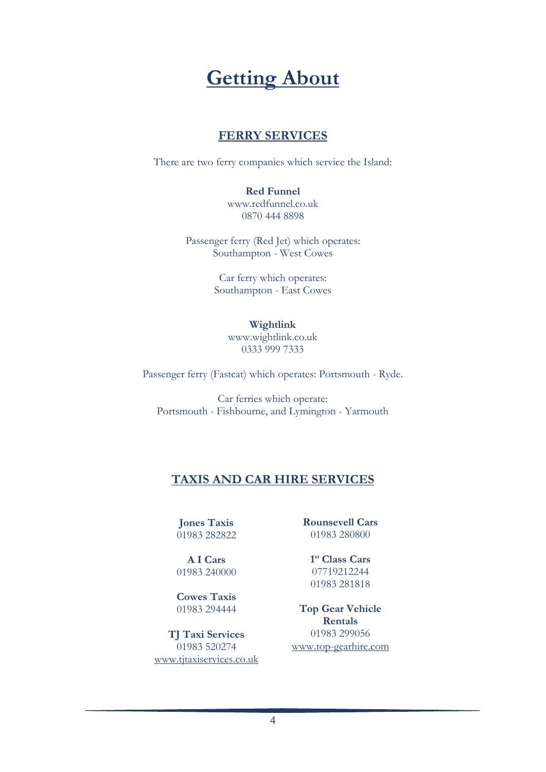## **Getting About**

### **FERRY SERVICES**

There are two ferry companies which service the Island:

#### **Red Funnel**

[www.redfunnel.co.uk](http://www.redfunnel.co.uk/) 0870 444 8898

Passenger ferry (Red Jet) which operates: Southampton - West Cowes

> Car ferry which operates: Southampton - East Cowes

#### **Wightlink**

[www.wightlink.co.uk](http://www.wightlink.co.uk/) 0333 999 7333

Passenger ferry (Fastcat) which operates: Portsmouth - Ryde.

Car ferries which operate: Portsmouth - Fishbourne, and Lymington - Yarmouth

## **TAXIS AND CAR HIRE SERVICES**

**Jones Taxis** 01983 282822

**A I Cars** 01983 240000

**Cowes Taxis** 01983 294444

**TJ Taxi Services** 01983 520274 [www.tjtaxiservices.co.uk](http://www.tjtaxiservices.co.uk/) **Rounsevell Cars** 01983 280800

**1 st Class Cars** 07719212244 01983 281818

**Top Gear Vehicle Rentals** 01983 299056 [www.top-gearhire.com](http://www.top-gearhire.com/)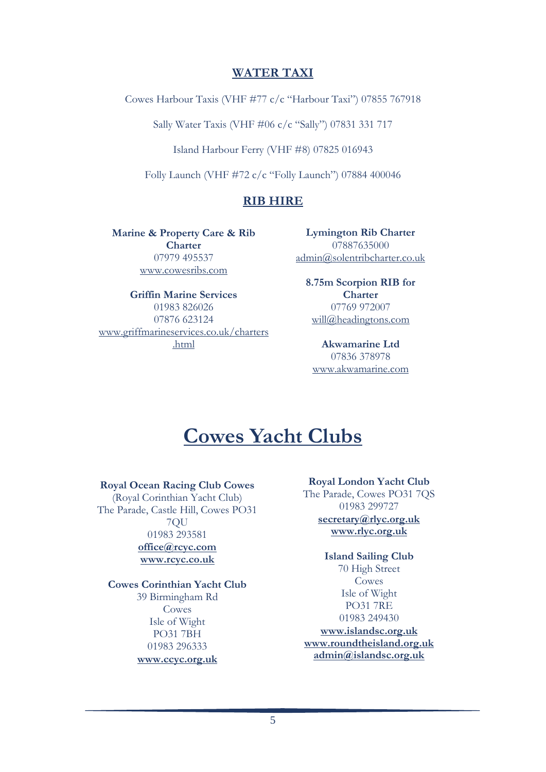#### **WATER TAXI**

Cowes Harbour Taxis (VHF #77 c/c "Harbour Taxi") 07855 767918

Sally Water Taxis (VHF #06 c/c "Sally") 07831 331 717

Island Harbour Ferry (VHF #8) 07825 016943

Folly Launch (VHF #72 c/c "Folly Launch") 07884 400046

## **RIB HIRE**

**Marine & Property Care & Rib Charter** 07979 495537 [www.cowesribs.com](http://www.cowesribs.com/)

**Griffin Marine Services** 01983 826026 07876 623124 [www.griffmarineservices.co.uk/charters](http://www.griffmarineservices.co.uk/charters.html) [.html](http://www.griffmarineservices.co.uk/charters.html)

**Lymington Rib Charter** 07887635000 [admin@solentribcharter.co.uk](mailto:admin@solentribcharter.co.uk)

> **8.75m Scorpion RIB for Charter** 07769 972007 [will@headingtons.com](mailto:will@headingtons.com)

**Akwamarine Ltd** 07836 378978 [www.akwamarine.com](http://www.akwamarine.com/)

## **Cowes Yacht Clubs**

#### **Royal Ocean Racing Club Cowes**

(Royal Corinthian Yacht Club) The Parade, Castle Hill, Cowes PO31 7QU 01983 293581 **[office@rcyc.com](mailto:office@rcyc.com) [www.rcyc.co.uk](http://www.rcyc.co.uk/)**

## **Cowes Corinthian Yacht Club**

39 Birmingham Rd Cowes Isle of Wight PO31 7BH 01983 296333 **[www.ccyc.org.uk](http://www.ccyc.org.uk/)**

#### **Royal London Yacht Club**

The Parade, Cowes PO31 7QS 01983 299727

#### **[secretary@rlyc.org.uk](mailto:secretary@rlyc.org.uk) [www.rlyc.org.uk](http://www.rlyc.org.uk/)**

#### **Island Sailing Club** 70 High Street Cowes

Isle of Wight PO31 7RE 01983 249430 **[www.islandsc.org.uk](http://www.islandsc.org.uk/) [www.roundtheisland.org.uk](http://www.roundtheisland.org.uk/) [admin@islandsc.org.uk](mailto:admin@islandsc.org.uk)**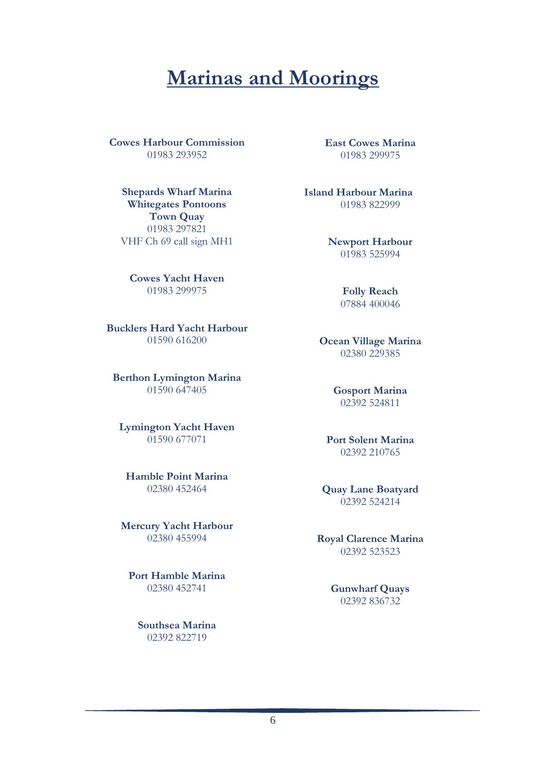## **Marinas and Moorings**

**Cowes Harbour Commission** 01983 293952

**Shepards Wharf Marina Whitegates Pontoons Town Quay** 01983 297821 VHF Ch 69 call sign MH1

**Cowes Yacht Haven** 01983 299975

**Bucklers Hard Yacht Harbour** 01590 616200

**Berthon Lymington Marina** 01590 647405

**Lymington Yacht Haven** 01590 677071

**Hamble Point Marina** 02380 452464

**Mercury Yacht Harbour** 02380 455994

**Port Hamble Marina** 02380 452741

> **Southsea Marina** 02392 822719

**East Cowes Marina** 01983 299975

**Island Harbour Marina** 01983 822999

> **Newport Harbour** 01983 525994

> > **Folly Reach** 07884 400046

**Ocean Village Marina** 02380 229385

> **Gosport Marina** 02392 524811

**Port Solent Marina** 02392 210765

**Quay Lane Boatyard** 02392 524214

**Royal Clarence Marina** 02392 523523

> **Gunwharf Quays** 02392 836732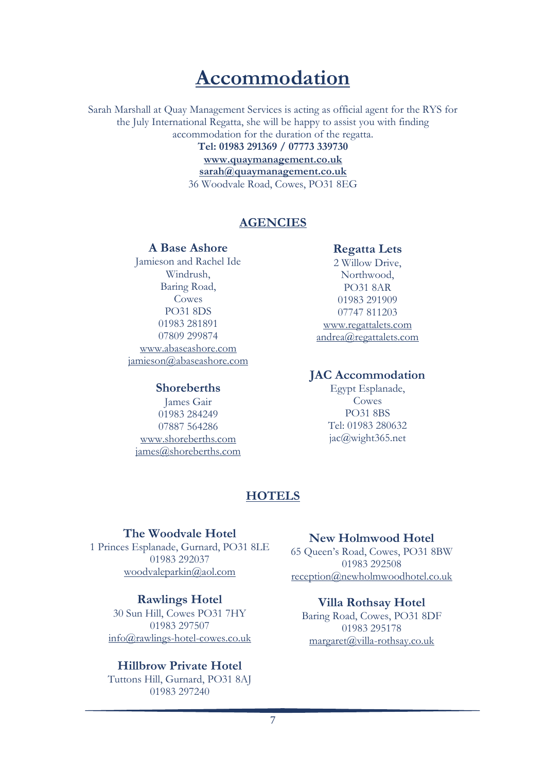## **Accommodation**

Sarah Marshall at Quay Management Services is acting as official agent for the RYS for the July International Regatta, she will be happy to assist you with finding accommodation for the duration of the regatta.

**Tel: 01983 291369 / 07773 339730 [www.quaymanagement.co.uk](file://rys-server01/data/Bicentenary%202015%20Planning/regatta/www.quaymanagement.co.uk) [sarah@quaymanagement.co.uk](mailto:sarah@quaymanagement.co.uk)** 36 Woodvale Road, Cowes, PO31 8EG

### **AGENCIES**

#### **A Base Ashore**

Jamieson and Rachel Ide Windrush, Baring Road, Cowes PO31 8DS 01983 281891 07809 299874 [www.abaseashore.com](file://rys-server01/data/Bicentenary%202015%20Planning/regatta/www.abaseashore.com) [jamieson@abaseashore.com](mailto:jamieson@abaseashore.com)

#### **Shoreberths**

James Gair 01983 284249 07887 564286 [www.shoreberths.com](http://www.shoreberths.com/) [james@shoreberths.com](mailto:james@shoreberths.com)

### **Regatta Lets**

2 Willow Drive, Northwood, PO31 8AR 01983 291909 07747 811203 [www.regattalets.com](http://www.regattalets.com/) [andrea@regattalets.com](mailto:andrea@regattalets.com)

#### **JAC Accommodation**

Egypt Esplanade, Cowes PO31 8BS Tel: 01983 280632 jac@wight365.net

## **HOTELS**

### **The Woodvale Hotel**

1 Princes Esplanade, Gurnard, PO31 8LE 01983 292037 [woodvaleparkin@aol.com](mailto:woodvaleparkin@aol.com)

#### **Rawlings Hotel**

30 Sun Hill, Cowes PO31 7HY 01983 297507 [info@rawlings-hotel-cowes.co.uk](mailto:info@rawlings-hotel-cowes.co.uk)

#### **Hillbrow Private Hotel** Tuttons Hill, Gurnard, PO31 8AJ 01983 297240

## **New Holmwood Hotel**

65 Queen's Road, Cowes, PO31 8BW 01983 292508 [reception@newholmwoodhotel.co.uk](mailto:reception@newholmwoodhotel.co.uk)

### **Villa Rothsay Hotel**

Baring Road, Cowes, PO31 8DF 01983 295178 [margaret@villa-rothsay.co.uk](mailto:margaret@villa-rothsay.co.uk)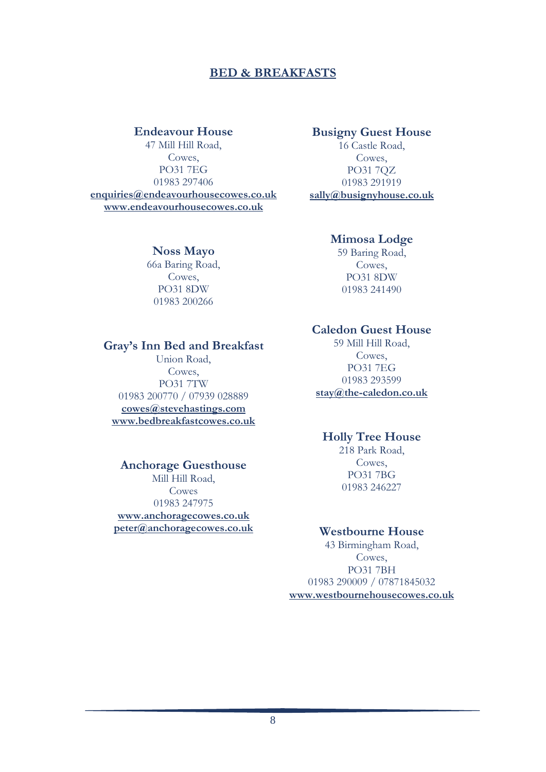### **BED & BREAKFASTS**

#### **Endeavour House**

47 Mill Hill Road, Cowes, PO31 7EG 01983 297406 **[enquiries@endeavourhousecowes.co.uk](mailto:enquiries@endeavourhousecowes.co.uk) [www.endeavourhousecowes.co.uk](http://www.endeavourhousecowes.co.uk/)**

#### **Busigny Guest House**

16 Castle Road, Cowes, PO31 7QZ 01983 291919 **[sally@busignyhouse.co.uk](mailto:sally@busignyhouse.co.uk)**

#### **Noss Mayo**

66a Baring Road, Cowes, PO31 8DW 01983 200266

#### **Mimosa Lodge**

59 Baring Road, Cowes, PO31 8DW 01983 241490

#### **Caledon Guest House**

59 Mill Hill Road, Cowes, PO31 7EG 01983 293599 **[stay@the-caledon.co.uk](mailto:stay@the-caledon.co.uk)**

#### **Holly Tree House**

218 Park Road, Cowes, PO31 7BG 01983 246227

#### **Westbourne House**

43 Birmingham Road, Cowes, PO31 7BH 01983 290009 / 07871845032 **[www.westbournehousecowes.co.uk](file:///C:/Users/Laura.Cansdale/AppData/Roaming/Microsoft/Word/www.westbournehousecowes.co.uk)**

#### **Gray's Inn Bed and Breakfast**

Union Road, Cowes, PO31 7TW 01983 200770 / 07939 028889 **[cowes@stevehastings.com](mailto:cowes@stevehastings.com) [www.bedbreakfastcowes.co.uk](http://www.bedbreakfastcowes.co.uk/)**

#### **Anchorage Guesthouse**

Mill Hill Road, Cowes 01983 247975 **[www.anchoragecowes.co.uk](file:///C:/Users/Laura.Cansdale/AppData/Roaming/Microsoft/Word/www.anchoragecowes.co.uk) [peter@anchoragecowes.co.uk](mailto:peter@anchoragecowes.co.uk)**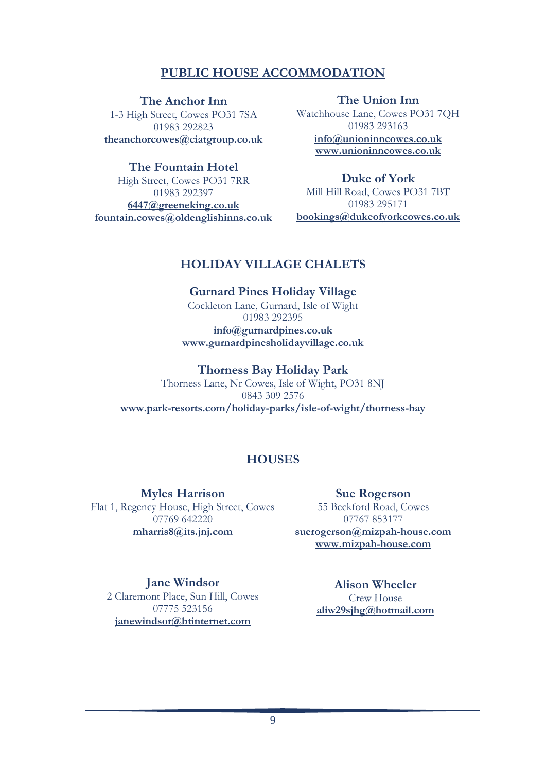## **PUBLIC HOUSE ACCOMMODATION**

**The Anchor Inn**

1-3 High Street, Cowes PO31 7SA 01983 292823 **[theanchorcowes@ciatgroup.co.uk](mailto:theanchorcowes@ciatgroup.co.uk)**

**The Fountain Hotel** High Street, Cowes PO31 7RR 01983 292397

**[6447@greeneking.co.uk](mailto:6447@greeneking.co.uk) [fountain.cowes@oldenglishinns.co.uk](mailto:fountain.cowes@oldenglishinns.co.uk)**

**The Union Inn** Watchhouse Lane, Cowes PO31 7QH 01983 293163 **[info@unioninncowes.co.uk](mailto:info@unioninncowes.co.uk) [www.unioninncowes.co.uk](http://www.unioninncowes.co.uk/)**

**Duke of York** Mill Hill Road, Cowes PO31 7BT 01983 295171 **[bookings@dukeofyorkcowes.co.uk](mailto:bookings@dukeofyorkcowes.co.uk)**

### **HOLIDAY VILLAGE CHALETS**

**Gurnard Pines Holiday Village** Cockleton Lane, Gurnard, Isle of Wight 01983 292395 **[info@gurnardpines.co.uk](mailto:info@gurnardpines.co.uk) [www.gurnardpinesholidayvillage.co.uk](http://www.gurnardpinesholidayvillage.co.uk/)**

**Thorness Bay Holiday Park** Thorness Lane, Nr Cowes, Isle of Wight, PO31 8NJ 0843 309 2576 **[www.park-resorts.com/holiday-parks/isle-of-wight/thorness-bay](http://www.park-resorts.com/holiday-parks/isle-of-wight/thorness-bay)**

## **HOUSES**

**Myles Harrison** Flat 1, Regency House, High Street, Cowes 07769 642220 **[mharris8@its.jnj.com](mailto:Mharris8@its.jnj.com)**

**Sue Rogerson** 55 Beckford Road, Cowes 07767 853177 **[suerogerson@mizpah-house.com](mailto:suerogerson@mizpah-house.com) [www.mizpah-house.com](http://www.mizpah-house.com/)**

**Jane Windsor** 2 Claremont Place, Sun Hill, Cowes 07775 523156 **[janewindsor@btinternet.com](mailto:janewindsor@btinternet.com)**

**Alison Wheeler** Crew House **[aliw29sjhg@hotmail.com](mailto:aliw29sjhg@hotmail.com)**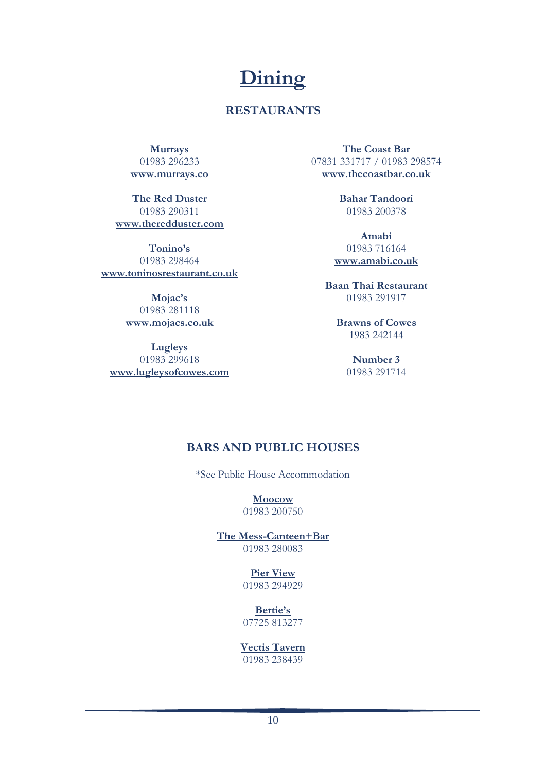## **Dining**

## **RESTAURANTS**

**Murrays** 01983 296233 **[www.murrays.co](http://www.murrays.co/)**

**The Red Duster** 01983 290311 **[www.theredduster.com](http://www.theredduster.com/)**

**Tonino's** 01983 298464 **[www.toninosrestaurant.co.uk](http://www.toninosrestaurant.co.uk/)**

> **Mojac's** 01983 281118 **[www.mojacs.co.uk](http://www.mojacs.co.uk/)**

**Lugleys** 01983 299618 **[www.lugleysofcowes.com](http://www.lugleysofcowes.com/)**

**The Coast Bar** 07831 331717 / 01983 298574 **[www.thecoastbar.co.uk](http://www.thecoastbar.co.uk/)**

> **Bahar Tandoori** 01983 200378

**Amabi** 01983 716164 **[www.amabi.co.uk](http://www.amabi.co.uk/)**

**Baan Thai Restaurant** 01983 291917

> **Brawns of Cowes** 1983 242144

> > **Number 3** 01983 291714

## **BARS AND PUBLIC HOUSES**

\*See Public House Accommodation

**Moocow** 01983 200750

**The Mess-Canteen+Bar** 01983 280083

> **Pier View** 01983 294929

**Bertie's** 07725 813277

**Vectis Tavern**

01983 238439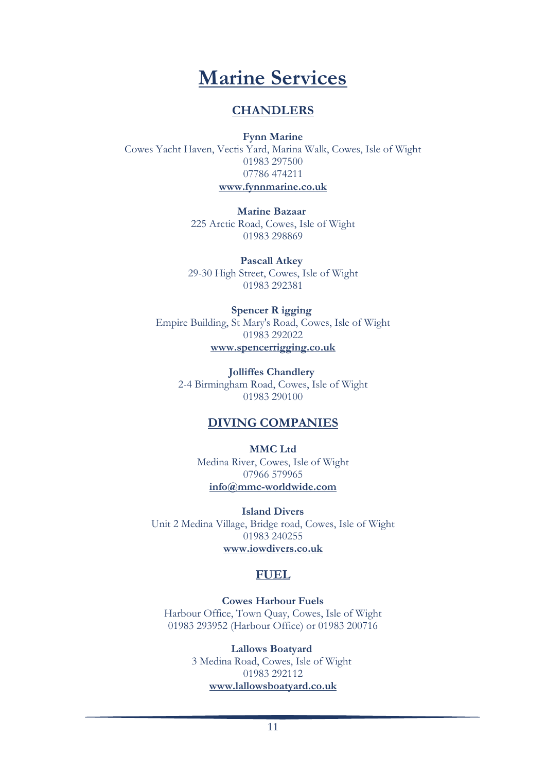

### **CHANDLERS**

**Fynn Marine** Cowes Yacht Haven, Vectis Yard, Marina Walk, Cowes, Isle of Wight 01983 297500 07786 474211 **[www.fynnmarine.co.uk](http://www.fynnmarine.co.uk/)**

> **Marine Bazaar** 225 Arctic Road, Cowes, Isle of Wight 01983 298869

**Pascall Atkey** 29-30 High Street, Cowes, Isle of Wight 01983 292381

**Spencer R igging** Empire Building, St Mary's Road, Cowes, Isle of Wight 01983 292022 **[www.spencerrigging.co.uk](http://www.spencerrigging.co.uk/)**

> **Jolliffes Chandlery** 2-4 Birmingham Road, Cowes, Isle of Wight 01983 290100

### **DIVING COMPANIES**

**MMC Ltd** Medina River, Cowes, Isle of Wight 07966 579965 **[info@mmc-worldwide.com](mailto:info@mmc-worldwide.com)**

**Island Divers** Unit 2 Medina Village, Bridge road, Cowes, Isle of Wight 01983 240255 **[www.iowdivers.co.uk](http://www.iowdivers.co.uk/)**

### **FUEL**

**Cowes Harbour Fuels** Harbour Office, Town Quay, Cowes, Isle of Wight 01983 293952 (Harbour Office) or 01983 200716

> **Lallows Boatyard** 3 Medina Road, Cowes, Isle of Wight 01983 292112 **[www.lallowsboatyard.co.uk](http://www.lallowsboatyard.co.uk/)**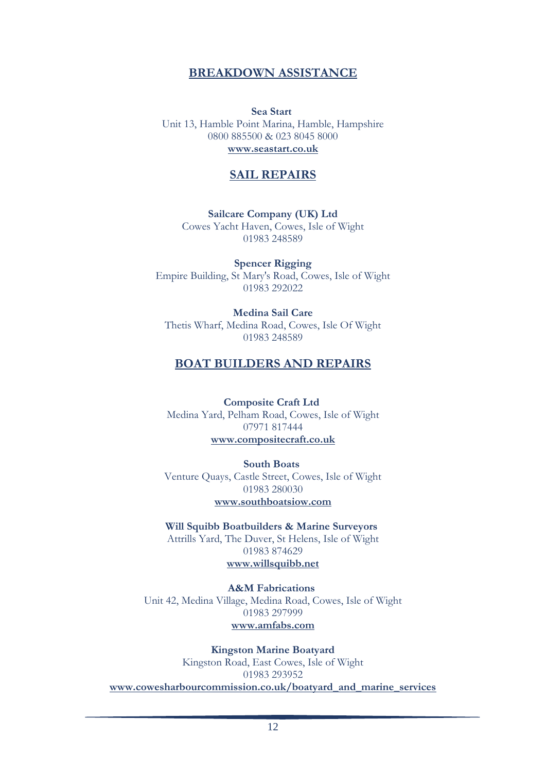### **BREAKDOWN ASSISTANCE**

**Sea Start** Unit 13, Hamble Point Marina, Hamble, Hampshire 0800 885500 & 023 8045 8000 **www.seastart.co.uk**

#### **SAIL REPAIRS**

**Sailcare Company (UK) Ltd** Cowes Yacht Haven, Cowes, Isle of Wight 01983 248589

**Spencer Rigging** Empire Building, St Mary's Road, Cowes, Isle of Wight 01983 292022

**Medina Sail Care** Thetis Wharf, Medina Road, Cowes, Isle Of Wight 01983 248589

#### **BOAT BUILDERS AND REPAIRS**

**Composite Craft Ltd** Medina Yard, Pelham Road, Cowes, Isle of Wight 07971 817444 **[www.compositecraft.co.uk](http://www.compositecraft.co.uk/)**

**[South Boats](http://www.cowes.co.uk/boat_builders__repairers_cowes_south_boats_54567_296.aspx)** Venture Quays, Castle Street, Cowes, Isle of Wight 01983 280030 **www.southboatsiow.com**

**[Will Squibb Boatbuilders & Marine Surveyors](http://www.cowes.co.uk/boat_builders__repairers_st_helens_will_squibb_boatbuilders_and_marine_surveyors_54643_296.aspx)** Attrills Yard, The Duver, St Helens, Isle of Wight 01983 874629 **[www.willsquibb.net](http://www.willsquibb.net/)**

**[A&M Fabrications](http://www.cowes.co.uk/boat_builders__repairers_cowes_aandm_fabrications_54601_296.aspx)** Unit 42, Medina Village, Medina Road, Cowes, Isle of Wight 01983 297999 **[www.amfabs.com](http://www.amfabs.com/)**

**Kingston Marine Boatyard** Kingston Road, East Cowes, Isle of Wight 01983 293952 **[www.cowesharbourcommission.co.uk/boatyard\\_and\\_marine\\_services](http://www.cowesharbourcommission.co.uk/boatyard_and_marine_services)**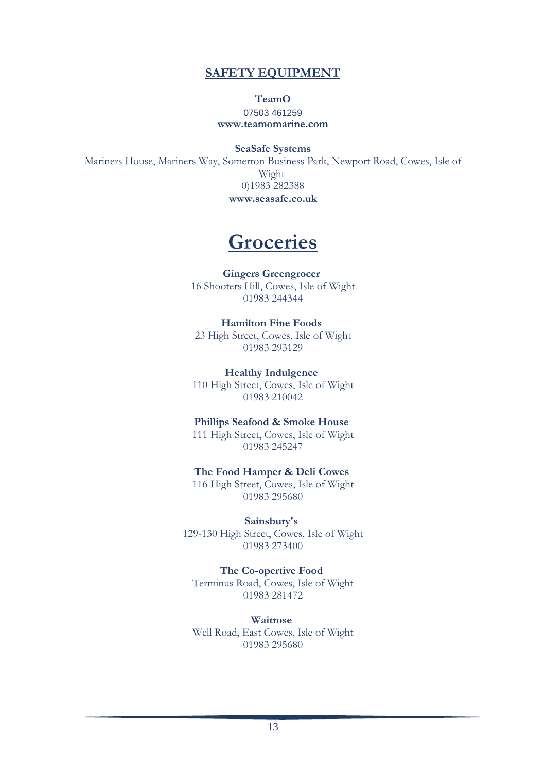### **SAFETY EQUIPMENT**

#### **TeamO** 07503 461259 **[www.teamomarine.com](http://www.teamomarine.com/)**

**SeaSafe Systems** Mariners House, Mariners Way, Somerton Business Park, Newport Road, Cowes, Isle of Wight 0)1983 282388 **[www.seasafe.co.uk](http://www.seasafe.co.uk/)**

## **Groceries**

**Gingers Greengrocer** 16 Shooters Hill, Cowes, Isle of Wight 01983 244344

**Hamilton Fine Foods** 23 High Street, Cowes, Isle of Wight 01983 293129

**Healthy Indulgence** 110 High Street, Cowes, Isle of Wight 01983 210042

**Phillips Seafood & Smoke House** 111 High Street, Cowes, Isle of Wight 01983 245247

**The Food Hamper & Deli Cowes** 116 High Street, Cowes, Isle of Wight 01983 295680

**Sainsbury's** 129-130 High Street, Cowes, Isle of Wight 01983 273400

**The Co-opertive Food** Terminus Road, Cowes, Isle of Wight 01983 281472

**Waitrose** Well Road, East Cowes, Isle of Wight 01983 295680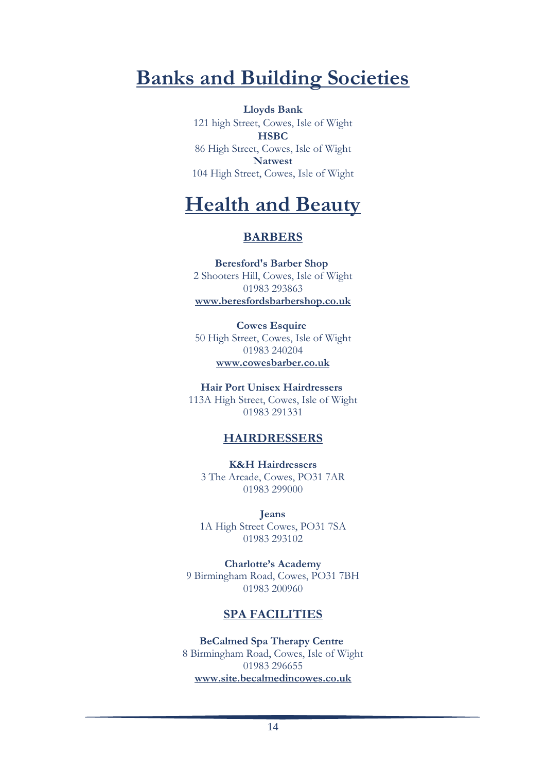## **Banks and Building Societies**

**Lloyds Bank** 121 high Street, Cowes, Isle of Wight **HSBC** 86 High Street, Cowes, Isle of Wight **Natwest** 104 High Street, Cowes, Isle of Wight

## **Health and Beauty**

### **BARBERS**

**Beresford's Barber Shop** 2 Shooters Hill, Cowes, Isle of Wight 01983 293863 **[www.beresfordsbarbershop.co.uk](http://www.beresfordsbarbershop.co.uk/)**

**Cowes Esquire** 50 High Street, Cowes, Isle of Wight 01983 240204 **[www.cowesbarber.co.uk](http://www.cowesbarber.co.uk/)**

**Hair Port Unisex Hairdressers** 113A High Street, Cowes, Isle of Wight 01983 291331

## **HAIRDRESSERS**

**K&H Hairdressers** 3 The Arcade, Cowes, PO31 7AR 01983 299000

**Jeans**  1A High Street Cowes, PO31 7SA 01983 293102

**Charlotte's Academy**  9 Birmingham Road, Cowes, PO31 7BH 01983 200960

## **SPA FACILITIES**

**BeCalmed Spa Therapy Centre** 8 Birmingham Road, Cowes, Isle of Wight 01983 296655 **[www.site.becalmedincowes.co.uk](http://www.site.becalmedincowes.co.uk/)**